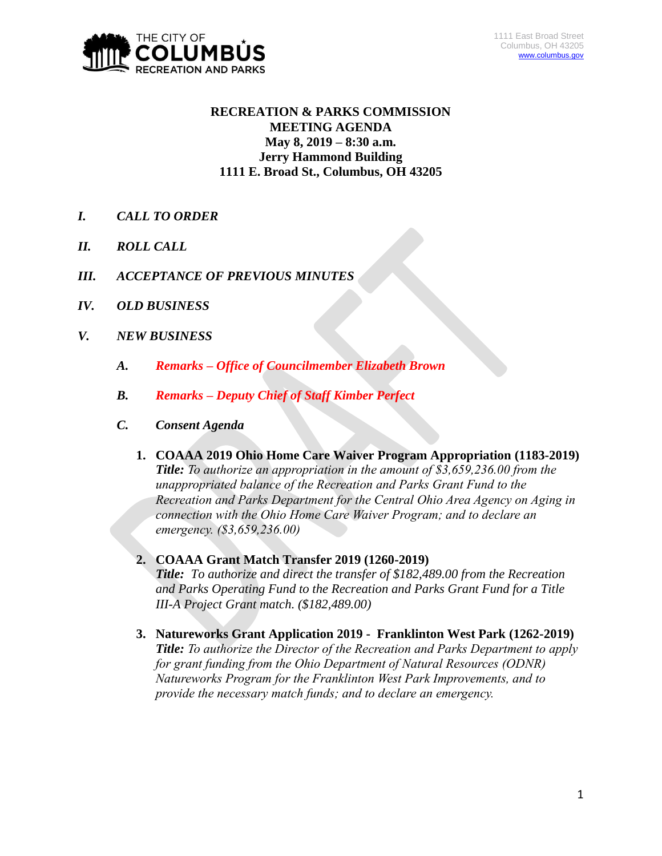

# **RECREATION & PARKS COMMISSION MEETING AGENDA May 8, 2019 – 8:30 a.m. Jerry Hammond Building 1111 E. Broad St., Columbus, OH 43205**

- *I. CALL TO ORDER*
- *II. ROLL CALL*
- *III. ACCEPTANCE OF PREVIOUS MINUTES*
- *IV. OLD BUSINESS*
- *V. NEW BUSINESS*
	- *A. Remarks – Office of Councilmember Elizabeth Brown*
	- *B. Remarks – Deputy Chief of Staff Kimber Perfect*
	- *C. Consent Agenda* 
		- **1. COAAA 2019 Ohio Home Care Waiver Program Appropriation (1183-2019)** *Title: To authorize an appropriation in the amount of \$3,659,236.00 from the unappropriated balance of the Recreation and Parks Grant Fund to the Recreation and Parks Department for the Central Ohio Area Agency on Aging in connection with the Ohio Home Care Waiver Program; and to declare an emergency. (\$3,659,236.00)*
		- **2. COAAA Grant Match Transfer 2019 (1260-2019)** *Title: To authorize and direct the transfer of \$182,489.00 from the Recreation and Parks Operating Fund to the Recreation and Parks Grant Fund for a Title III-A Project Grant match. (\$182,489.00)*
		- **3. Natureworks Grant Application 2019 Franklinton West Park (1262-2019)** *Title: To authorize the Director of the Recreation and Parks Department to apply for grant funding from the Ohio Department of Natural Resources (ODNR) Natureworks Program for the Franklinton West Park Improvements, and to provide the necessary match funds; and to declare an emergency.*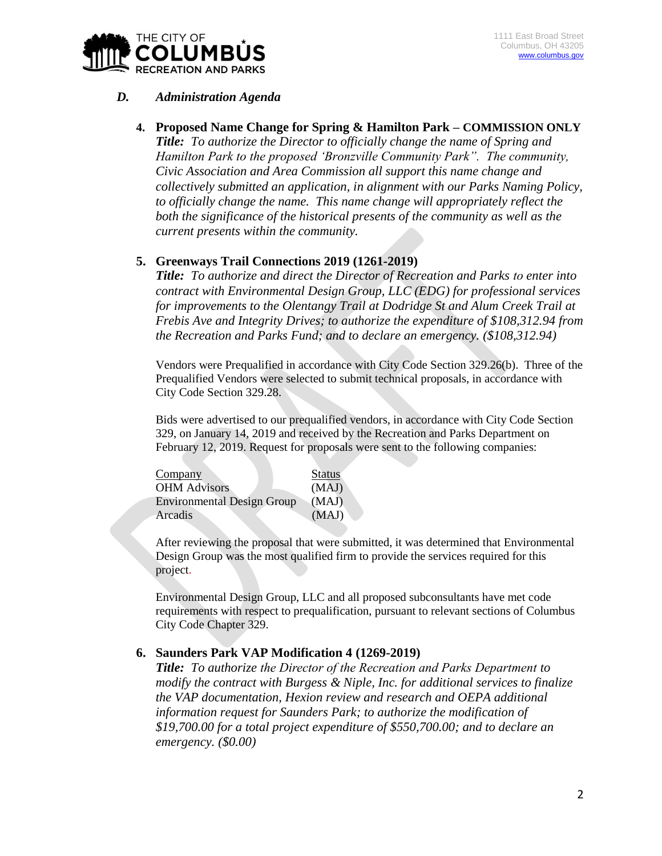

#### *D. Administration Agenda*

**4. Proposed Name Change for Spring & Hamilton Park – COMMISSION ONLY** *Title: To authorize the Director to officially change the name of Spring and Hamilton Park to the proposed 'Bronzville Community Park". The community, Civic Association and Area Commission all support this name change and collectively submitted an application, in alignment with our Parks Naming Policy, to officially change the name. This name change will appropriately reflect the both the significance of the historical presents of the community as well as the current presents within the community.*

### **5. Greenways Trail Connections 2019 (1261-2019)**

*Title: To authorize and direct the Director of Recreation and Parks to enter into contract with Environmental Design Group, LLC (EDG) for professional services for improvements to the Olentangy Trail at Dodridge St and Alum Creek Trail at Frebis Ave and Integrity Drives; to authorize the expenditure of \$108,312.94 from the Recreation and Parks Fund; and to declare an emergency. (\$108,312.94)*

Vendors were Prequalified in accordance with City Code Section 329.26(b). Three of the Prequalified Vendors were selected to submit technical proposals, in accordance with City Code Section 329.28.

Bids were advertised to our prequalified vendors, in accordance with City Code Section 329, on January 14, 2019 and received by the Recreation and Parks Department on February 12, 2019. Request for proposals were sent to the following companies:

| Company                           | <b>Status</b> |
|-----------------------------------|---------------|
| <b>OHM Advisors</b>               | (MAJ)         |
| <b>Environmental Design Group</b> | (MAJ)         |
| Arcadis                           | (MAJ)         |

After reviewing the proposal that were submitted, it was determined that Environmental Design Group was the most qualified firm to provide the services required for this project.

Environmental Design Group, LLC and all proposed subconsultants have met code requirements with respect to prequalification, pursuant to relevant sections of Columbus City Code Chapter 329.

### **6. Saunders Park VAP Modification 4 (1269-2019)**

*Title: To authorize the Director of the Recreation and Parks Department to modify the contract with Burgess & Niple, Inc. for additional services to finalize the VAP documentation, Hexion review and research and OEPA additional information request for Saunders Park; to authorize the modification of \$19,700.00 for a total project expenditure of \$550,700.00; and to declare an emergency. (\$0.00)*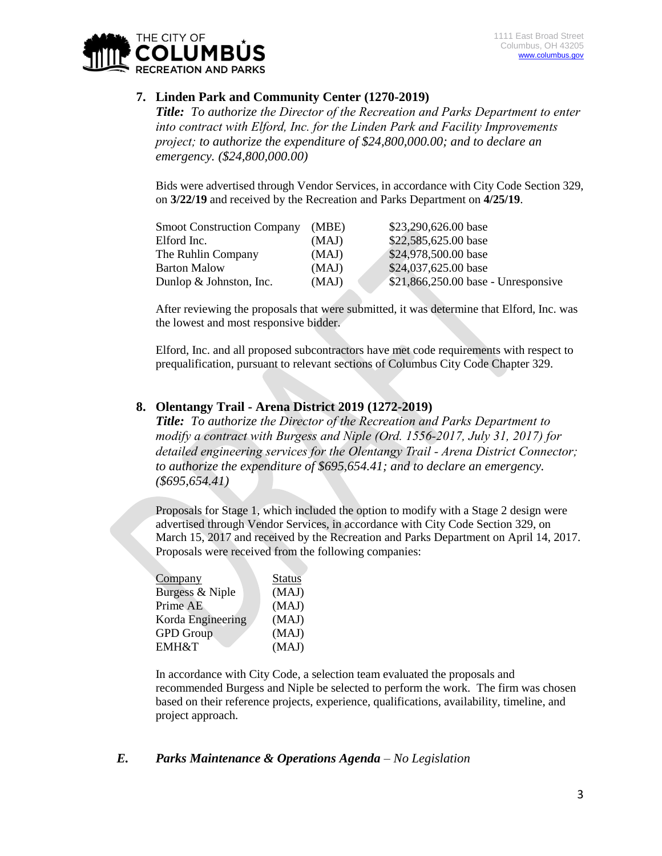

### **7. Linden Park and Community Center (1270-2019)**

*Title: To authorize the Director of the Recreation and Parks Department to enter into contract with Elford, Inc. for the Linden Park and Facility Improvements project; to authorize the expenditure of \$24,800,000.00; and to declare an emergency. (\$24,800,000.00)*

Bids were advertised through Vendor Services, in accordance with City Code Section 329, on **3/22/19** and received by the Recreation and Parks Department on **4/25/19**.

| <b>Smoot Construction Company</b> | (MBE) | \$23,290,626.00 base                 |
|-----------------------------------|-------|--------------------------------------|
| Elford Inc.                       | (MAJ) | \$22,585,625.00 base                 |
| The Ruhlin Company                | (MAJ) | \$24,978,500.00 base                 |
| <b>Barton Malow</b>               | (MAJ) | \$24,037,625.00 base                 |
| Dunlop $&$ Johnston, Inc.         | (MAJ) | $$21,866,250.00$ base - Unresponsive |

After reviewing the proposals that were submitted, it was determine that Elford, Inc. was the lowest and most responsive bidder.

Elford, Inc. and all proposed subcontractors have met code requirements with respect to prequalification, pursuant to relevant sections of Columbus City Code Chapter 329.

#### **8. Olentangy Trail - Arena District 2019 (1272-2019)**

*Title: To authorize the Director of the Recreation and Parks Department to modify a contract with Burgess and Niple (Ord. 1556-2017, July 31, 2017) for detailed engineering services for the Olentangy Trail - Arena District Connector; to authorize the expenditure of \$695,654.41; and to declare an emergency. (\$695,654.41)*

Proposals for Stage 1, which included the option to modify with a Stage 2 design were advertised through Vendor Services, in accordance with City Code Section 329, on March 15, 2017 and received by the Recreation and Parks Department on April 14, 2017. Proposals were received from the following companies:

| <b>Status</b> |
|---------------|
| (MAJ)         |
| (MAJ)         |
| (MAJ)         |
| (MAJ)         |
| (MAJ)         |
|               |

In accordance with City Code, a selection team evaluated the proposals and recommended Burgess and Niple be selected to perform the work. The firm was chosen based on their reference projects, experience, qualifications, availability, timeline, and project approach.

### *E. Parks Maintenance & Operations Agenda – No Legislation*